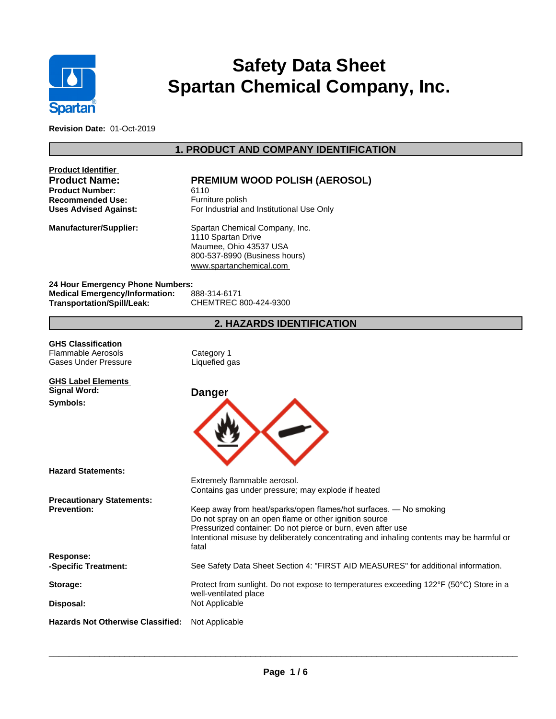

# **Safety Data Sheet Spartan Chemical Company, Inc.**

**Revision Date:** 01-Oct-2019

# **1. PRODUCT AND COMPANY IDENTIFICATION**

| Product Identifier<br><b>Product Name:</b><br><b>Product Number:</b><br><b>Recommended Use:</b><br><b>Uses Advised Against:</b> | <b>PREMIUM WOOD POLISH (AEROSOL)</b><br>6110<br>Furniture polish<br>For Industrial and Institutional Use Only                                                                                                                                                                           |
|---------------------------------------------------------------------------------------------------------------------------------|-----------------------------------------------------------------------------------------------------------------------------------------------------------------------------------------------------------------------------------------------------------------------------------------|
| <b>Manufacturer/Supplier:</b>                                                                                                   | Spartan Chemical Company, Inc.<br>1110 Spartan Drive<br>Maumee, Ohio 43537 USA<br>800-537-8990 (Business hours)<br>www.spartanchemical.com                                                                                                                                              |
| 24 Hour Emergency Phone Numbers:<br><b>Medical Emergency/Information:</b><br>Transportation/Spill/Leak:                         | 888-314-6171<br>CHEMTREC 800-424-9300                                                                                                                                                                                                                                                   |
|                                                                                                                                 | <b>2. HAZARDS IDENTIFICATION</b>                                                                                                                                                                                                                                                        |
| <b>GHS Classification</b><br><b>Flammable Aerosols</b><br>Gases Under Pressure                                                  | Category 1<br>Liquefied gas                                                                                                                                                                                                                                                             |
| <b>GHS Label Elements</b><br>Signal Word:<br>Symbols:                                                                           | Danger                                                                                                                                                                                                                                                                                  |
|                                                                                                                                 |                                                                                                                                                                                                                                                                                         |
| <b>Hazard Statements:</b>                                                                                                       | Extremely flammable aerosol.<br>Contains gas under pressure; may explode if heated                                                                                                                                                                                                      |
| <b>Precautionary Statements:</b><br><b>Prevention:</b>                                                                          | Keep away from heat/sparks/open flames/hot surfaces. — No smoking<br>Do not spray on an open flame or other ignition source<br>Pressurized container: Do not pierce or burn, even after use<br>Intentional misuse by deliberately concentrating and inhaling contents may be harmful or |
| <b>Response:</b><br>-Specific Treatment:                                                                                        | fatal<br>See Safety Data Sheet Section 4: "FIRST AID MEASURES" for additional information.                                                                                                                                                                                              |
| Storage:                                                                                                                        | Protect from sunlight. Do not expose to temperatures exceeding 122°F (50°C) Store in a<br>well-ventilated place                                                                                                                                                                         |
| Disposal:                                                                                                                       | Not Applicable                                                                                                                                                                                                                                                                          |
| <b>Hazards Not Otherwise Classified:</b> Not Applicable                                                                         |                                                                                                                                                                                                                                                                                         |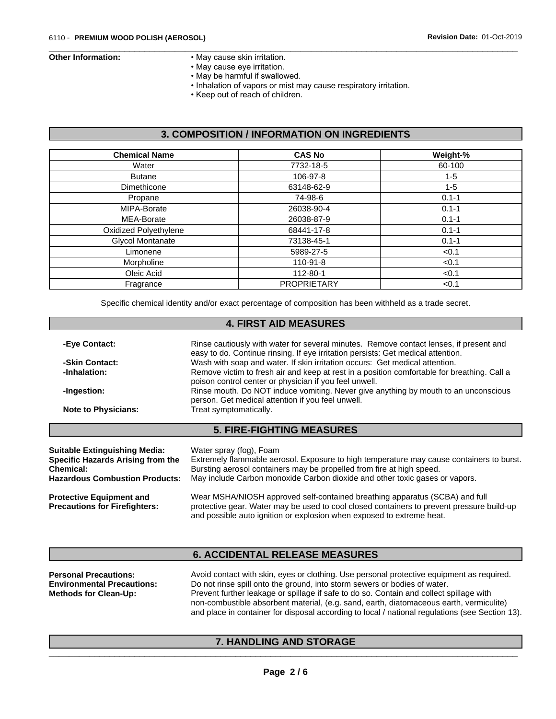- **Other Information:** May cause skin irritation.
	- May cause eye irritation.
	- May be harmful if swallowed.
	- Inhalation of vapors or mist may cause respiratory irritation.

 $\overline{\phantom{a}}$  ,  $\overline{\phantom{a}}$  ,  $\overline{\phantom{a}}$  ,  $\overline{\phantom{a}}$  ,  $\overline{\phantom{a}}$  ,  $\overline{\phantom{a}}$  ,  $\overline{\phantom{a}}$  ,  $\overline{\phantom{a}}$  ,  $\overline{\phantom{a}}$  ,  $\overline{\phantom{a}}$  ,  $\overline{\phantom{a}}$  ,  $\overline{\phantom{a}}$  ,  $\overline{\phantom{a}}$  ,  $\overline{\phantom{a}}$  ,  $\overline{\phantom{a}}$  ,  $\overline{\phantom{a}}$ 

• Keep out of reach of children.

## **3. COMPOSITION / INFORMATION ON INGREDIENTS**

| <b>Chemical Name</b>    | <b>CAS No</b>      | Weight-%  |
|-------------------------|--------------------|-----------|
| Water                   | 7732-18-5          | 60-100    |
| <b>Butane</b>           | 106-97-8           | $1 - 5$   |
| Dimethicone             | 63148-62-9         | $1 - 5$   |
| Propane                 | 74-98-6            | $0.1 - 1$ |
| MIPA-Borate             | 26038-90-4         | $0.1 - 1$ |
| MEA-Borate              | 26038-87-9         | $0.1 - 1$ |
| Oxidized Polyethylene   | 68441-17-8         | $0.1 - 1$ |
| <b>Glycol Montanate</b> | 73138-45-1         | $0.1 - 1$ |
| Limonene                | 5989-27-5          | < 0.1     |
| Morpholine              | 110-91-8           | < 0.1     |
| Oleic Acid              | 112-80-1           | < 0.1     |
| Fragrance               | <b>PROPRIETARY</b> | < 0.1     |

Specific chemical identity and/or exact percentage of composition has been withheld as a trade secret.

| <b>4. FIRST AID MEASURES</b>                                              |                                                                                                                                                                            |  |  |  |
|---------------------------------------------------------------------------|----------------------------------------------------------------------------------------------------------------------------------------------------------------------------|--|--|--|
| -Eye Contact:                                                             | Rinse cautiously with water for several minutes. Remove contact lenses, if present and<br>easy to do. Continue rinsing. If eye irritation persists: Get medical attention. |  |  |  |
| -Skin Contact:                                                            | Wash with soap and water. If skin irritation occurs: Get medical attention.                                                                                                |  |  |  |
| -Inhalation:                                                              | Remove victim to fresh air and keep at rest in a position comfortable for breathing. Call a<br>poison control center or physician if you feel unwell.                      |  |  |  |
| -Ingestion:                                                               | Rinse mouth. Do NOT induce vomiting. Never give anything by mouth to an unconscious<br>person. Get medical attention if you feel unwell.                                   |  |  |  |
| <b>Note to Physicians:</b>                                                | Treat symptomatically.                                                                                                                                                     |  |  |  |
|                                                                           | <b>5. FIRE-FIGHTING MEASURES</b>                                                                                                                                           |  |  |  |
| <b>Suitable Extinguishing Media:</b><br>Specific Hazarde Arieing from the | Water spray (fog), Foam<br>Extremely flammable aerosol. Exposure to bigh temperature may cause containers to burst                                                         |  |  |  |

| Specific Hazards Arising from the                                       | Extremely flammable aerosol. Exposure to high temperature may cause containers to burst.                                                                                                                                                          |
|-------------------------------------------------------------------------|---------------------------------------------------------------------------------------------------------------------------------------------------------------------------------------------------------------------------------------------------|
| Chemical:                                                               | Bursting aerosol containers may be propelled from fire at high speed.                                                                                                                                                                             |
| <b>Hazardous Combustion Products:</b>                                   | May include Carbon monoxide Carbon dioxide and other toxic gases or vapors.                                                                                                                                                                       |
| <b>Protective Equipment and</b><br><b>Precautions for Firefighters:</b> | Wear MSHA/NIOSH approved self-contained breathing apparatus (SCBA) and full<br>protective gear. Water may be used to cool closed containers to prevent pressure build-up<br>and possible auto ignition or explosion when exposed to extreme heat. |

### **6. ACCIDENTAL RELEASE MEASURES**

| <b>Personal Precautions:</b>      | Avoid contact with skin, eyes or clothing. Use personal protective equipment as required.       |
|-----------------------------------|-------------------------------------------------------------------------------------------------|
| <b>Environmental Precautions:</b> | Do not rinse spill onto the ground, into storm sewers or bodies of water.                       |
| <b>Methods for Clean-Up:</b>      | Prevent further leakage or spillage if safe to do so. Contain and collect spillage with         |
|                                   | non-combustible absorbent material, (e.g. sand, earth, diatomaceous earth, vermiculite)         |
|                                   | and place in container for disposal according to local / national regulations (see Section 13). |

#### **7. HANDLING AND STORAGE**

 $\overline{\phantom{a}}$  , and the set of the set of the set of the set of the set of the set of the set of the set of the set of the set of the set of the set of the set of the set of the set of the set of the set of the set of the s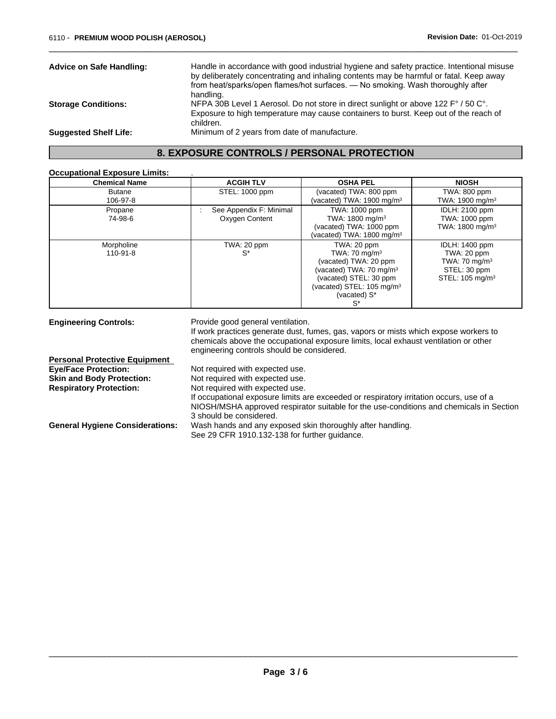| <b>Advice on Safe Handling:</b> | Handle in accordance with good industrial hygiene and safety practice. Intentional misuse<br>by deliberately concentrating and inhaling contents may be harmful or fatal. Keep away<br>from heat/sparks/open flames/hot surfaces. — No smoking. Wash thoroughly after |  |
|---------------------------------|-----------------------------------------------------------------------------------------------------------------------------------------------------------------------------------------------------------------------------------------------------------------------|--|
|                                 | handling.                                                                                                                                                                                                                                                             |  |
| <b>Storage Conditions:</b>      | NFPA 30B Level 1 Aerosol. Do not store in direct sunlight or above 122 F° / 50 C°.                                                                                                                                                                                    |  |
|                                 | Exposure to high temperature may cause containers to burst. Keep out of the reach of                                                                                                                                                                                  |  |
|                                 | children.                                                                                                                                                                                                                                                             |  |
| <b>Suggested Shelf Life:</b>    | Minimum of 2 years from date of manufacture.                                                                                                                                                                                                                          |  |
|                                 |                                                                                                                                                                                                                                                                       |  |

 $\overline{\phantom{a}}$  ,  $\overline{\phantom{a}}$  ,  $\overline{\phantom{a}}$  ,  $\overline{\phantom{a}}$  ,  $\overline{\phantom{a}}$  ,  $\overline{\phantom{a}}$  ,  $\overline{\phantom{a}}$  ,  $\overline{\phantom{a}}$  ,  $\overline{\phantom{a}}$  ,  $\overline{\phantom{a}}$  ,  $\overline{\phantom{a}}$  ,  $\overline{\phantom{a}}$  ,  $\overline{\phantom{a}}$  ,  $\overline{\phantom{a}}$  ,  $\overline{\phantom{a}}$  ,  $\overline{\phantom{a}}$ 

### **8. EXPOSURE CONTROLS / PERSONAL PROTECTION**

#### **Occupational Exposure Limits:** .

| <b>Chemical Name</b>      | <b>ACGIH TLV</b>                          | <b>OSHA PEL</b>                                                                                                                                                                                  | <b>NIOSH</b>                                                                                                    |
|---------------------------|-------------------------------------------|--------------------------------------------------------------------------------------------------------------------------------------------------------------------------------------------------|-----------------------------------------------------------------------------------------------------------------|
| <b>Butane</b><br>106-97-8 | STEL: 1000 ppm                            | (vacated) TWA: 800 ppm<br>(vacated) TWA: 1900 mg/m <sup>3</sup>                                                                                                                                  | TWA: 800 ppm<br>TWA: 1900 mg/m <sup>3</sup>                                                                     |
| Propane<br>74-98-6        | See Appendix F: Minimal<br>Oxygen Content | TWA: 1000 ppm<br>TWA: 1800 mg/m <sup>3</sup><br>(vacated) TWA: 1000 ppm<br>(vacated) TWA: 1800 mg/m $3$                                                                                          | <b>IDLH: 2100 ppm</b><br>TWA: 1000 ppm<br>TWA: 1800 mg/m <sup>3</sup>                                           |
| Morpholine<br>$110-91-8$  | TWA: 20 ppm<br>$S^*$                      | TWA: 20 ppm<br>TWA: $70 \text{ mg/m}^3$<br>(vacated) TWA: 20 ppm<br>(vacated) TWA: 70 mg/m <sup>3</sup><br>(vacated) STEL: 30 ppm<br>(vacated) STEL: 105 mg/m <sup>3</sup><br>(vacated) S*<br>S* | <b>IDLH: 1400 ppm</b><br>TWA: 20 ppm<br>TWA: $70 \text{ mg/m}^3$<br>STEL: 30 ppm<br>STEL: 105 mg/m <sup>3</sup> |

**Engineering Controls:** Provide good general ventilation. If work practices generate dust, fumes, gas, vapors or mists which expose workers to chemicals above the occupational exposure limits, local exhaust ventilation or other engineering controls should be considered. **Personal Protective Equipment**<br> **Eye/Face Protection:** Not required with expected use. **Skin and Body Protection:** Not required with expected use. **Respiratory Protection:** Not required with expected use. If occupational exposure limits are exceeded or respiratory irritation occurs, use of a NIOSH/MSHA approved respirator suitable for the use-conditions and chemicals in Section 3 should be considered. **General Hygiene Considerations:** Wash hands and any exposed skin thoroughly after handling. See 29 CFR 1910.132-138 for further guidance.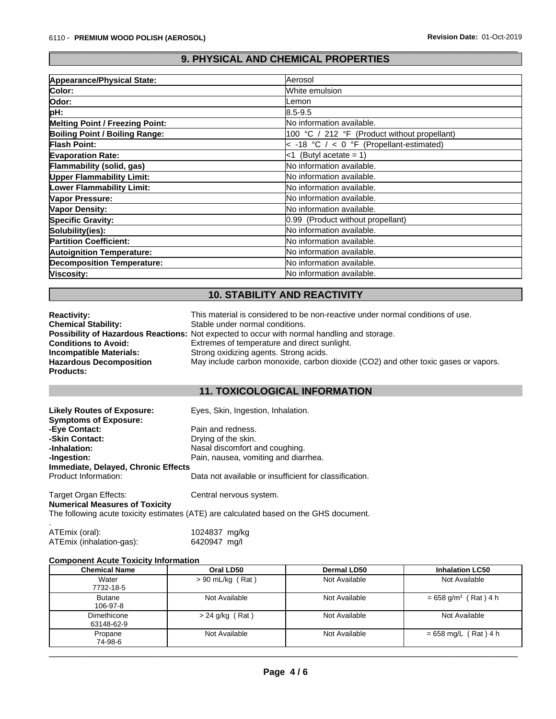# **9. PHYSICAL AND CHEMICAL PROPERTIES**

 $\overline{\phantom{a}}$  ,  $\overline{\phantom{a}}$  ,  $\overline{\phantom{a}}$  ,  $\overline{\phantom{a}}$  ,  $\overline{\phantom{a}}$  ,  $\overline{\phantom{a}}$  ,  $\overline{\phantom{a}}$  ,  $\overline{\phantom{a}}$  ,  $\overline{\phantom{a}}$  ,  $\overline{\phantom{a}}$  ,  $\overline{\phantom{a}}$  ,  $\overline{\phantom{a}}$  ,  $\overline{\phantom{a}}$  ,  $\overline{\phantom{a}}$  ,  $\overline{\phantom{a}}$  ,  $\overline{\phantom{a}}$ 

| Appearance/Physical State:             | lAerosol                                      |
|----------------------------------------|-----------------------------------------------|
| Color:                                 | White emulsion                                |
| Odor:                                  | Lemon                                         |
| pH:                                    | $8.5 - 9.5$                                   |
| <b>Melting Point / Freezing Point:</b> | No information available.                     |
| Boiling Point / Boiling Range:         | 100 °C / 212 °F (Product without propellant)  |
| <b>Flash Point:</b>                    | $\leq$ -18 °C / < 0 °F (Propellant-estimated) |
| <b>Evaporation Rate:</b>               | <1 (Butyl acetate = 1)                        |
| Flammability (solid, gas)              | No information available.                     |
| <b>Upper Flammability Limit:</b>       | No information available.                     |
| Lower Flammability Limit:              | No information available.                     |
| Vapor Pressure:                        | <b>No information available.</b>              |
| Vapor Density:                         | <b>No information available.</b>              |
| <b>Specific Gravity:</b>               | 0.99 (Product without propellant)             |
| Solubility(ies):                       | No information available.                     |
| <b>Partition Coefficient:</b>          | No information available.                     |
| <b>Autoignition Temperature:</b>       | No information available.                     |
| <b>Decomposition Temperature:</b>      | No information available.                     |
| Viscosity:                             | lNo information available.                    |
|                                        |                                               |

# **10. STABILITY AND REACTIVITY**

| <b>Reactivity:</b>             | This material is considered to be non-reactive under normal conditions of use.              |
|--------------------------------|---------------------------------------------------------------------------------------------|
| <b>Chemical Stability:</b>     | Stable under normal conditions.                                                             |
|                                | Possibility of Hazardous Reactions: Not expected to occur with normal handling and storage. |
| <b>Conditions to Avoid:</b>    | Extremes of temperature and direct sunlight.                                                |
| Incompatible Materials:        | Strong oxidizing agents. Strong acids.                                                      |
| <b>Hazardous Decomposition</b> | May include carbon monoxide, carbon dioxide (CO2) and other toxic gases or vapors.          |
| <b>Products:</b>               |                                                                                             |

#### **11. TOXICOLOGICAL INFORMATION**

| <b>Likely Routes of Exposure:</b>   | Eyes, Skin, Ingestion, Inhalation.                     |
|-------------------------------------|--------------------------------------------------------|
| <b>Symptoms of Exposure:</b>        |                                                        |
| -Eve Contact:                       | Pain and redness.                                      |
| -Skin Contact:                      | Drying of the skin.                                    |
| -Inhalation:                        | Nasal discomfort and coughing.                         |
| -Ingestion:                         | Pain, nausea, vomiting and diarrhea.                   |
| Immediate, Delayed, Chronic Effects |                                                        |
| Product Information:                | Data not available or insufficient for classification. |
|                                     |                                                        |

Target Organ Effects: Central nervous system. **Numerical Measures of Toxicity** The following acute toxicity estimates (ATE) are calculated based on the GHS document.

| ATEmix (oral):           | 1024837 mg/kg |  |
|--------------------------|---------------|--|
| ATEmix (inhalation-gas): | 6420947 mg/l  |  |

#### **Component Acute Toxicity Information**

| <b>Chemical Name</b>      | Oral LD50          | Dermal LD50   | <b>Inhalation LC50</b>             |
|---------------------------|--------------------|---------------|------------------------------------|
| Water<br>7732-18-5        | $> 90$ mL/kg (Rat) | Not Available | Not Available                      |
| <b>Butane</b><br>106-97-8 | Not Available      | Not Available | $= 658$ g/m <sup>3</sup> (Rat) 4 h |
| Dimethicone<br>63148-62-9 | > 24 g/kg (Rat)    | Not Available | Not Available                      |
| Propane<br>74-98-6        | Not Available      | Not Available | $= 658$ mg/L (Rat) 4 h             |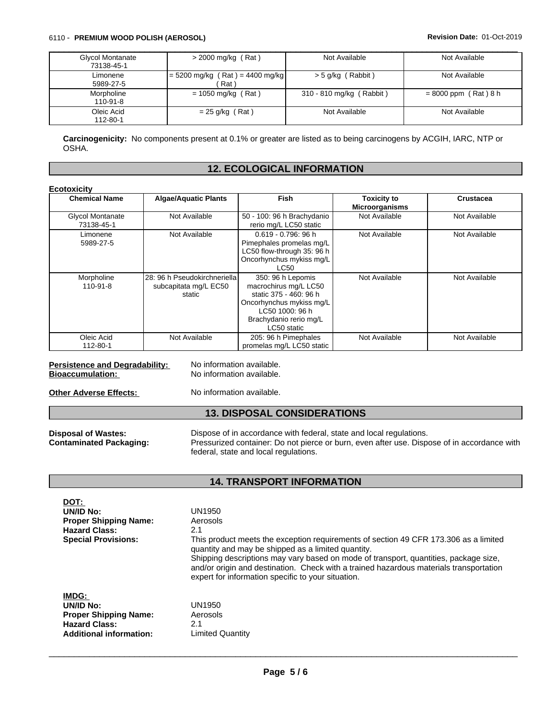#### 6110 - **PREMIUM WOOD POLISH (AEROSOL) Revision Date:** 01-Oct-2019

| <b>Glycol Montanate</b> | $>$ 2000 mg/kg (Rat)              | Not Available            | Not Available          |
|-------------------------|-----------------------------------|--------------------------|------------------------|
| 73138-45-1              |                                   |                          |                        |
| Limonene                | $= 5200$ mg/kg (Rat) = 4400 mg/kg | $>$ 5 g/kg (Rabbit)      | Not Available          |
| 5989-27-5               | Rat <sup>'</sup>                  |                          |                        |
| Morpholine              | $= 1050$ mg/kg (Rat)              | 310 - 810 mg/kg (Rabbit) | $= 8000$ ppm (Rat) 8 h |
| 110-91-8                |                                   |                          |                        |
| Oleic Acid              | $= 25$ g/kg (Rat)                 | Not Available            | Not Available          |
| 112-80-1                |                                   |                          |                        |

**Carcinogenicity:** No components present at 0.1% or greater are listed as to being carcinogens by ACGIH, IARC, NTP or OSHA.

#### **12. ECOLOGICAL INFORMATION**

| <b>Chemical Name</b>           | <b>Algae/Aquatic Plants</b>                                     | <b>Fish</b>                                                                                                                                                  | <b>Toxicity to</b><br><b>Microorganisms</b> | Crustacea     |
|--------------------------------|-----------------------------------------------------------------|--------------------------------------------------------------------------------------------------------------------------------------------------------------|---------------------------------------------|---------------|
| Glycol Montanate<br>73138-45-1 | Not Available                                                   | 50 - 100: 96 h Brachydanio<br>rerio mg/L LC50 static                                                                                                         | Not Available                               | Not Available |
| Limonene<br>5989-27-5          | Not Available                                                   | 0.619 - 0.796: 96 h<br>Pimephales promelas mg/L<br>LC50 flow-through 35: 96 h<br>Oncorhynchus mykiss mg/L<br>LC50                                            | Not Available                               | Not Available |
| Morpholine<br>110-91-8         | 28: 96 h Pseudokirchneriella<br>subcapitata mg/L EC50<br>static | 350: 96 h Lepomis<br>macrochirus mg/L LC50<br>static 375 - 460: 96 h<br>Oncorhynchus mykiss mg/L<br>LC50 1000: 96 h<br>Brachydanio rerio mg/L<br>LC50 static | Not Available                               | Not Available |
| Oleic Acid<br>112-80-1         | Not Available                                                   | 205: 96 h Pimephales<br>promelas mg/L LC50 static                                                                                                            | Not Available                               | Not Available |

# **Persistence and Degradability:** No information available.<br> **Bioaccumulation:** No information available.

**No information available.** 

**Other Adverse Effects:** No information available.

#### **13. DISPOSAL CONSIDERATIONS**

**Disposal of Wastes:** Dispose of in accordance with federal, state and local regulations.<br> **Contaminated Packaging:** Pressurized container: Do not pierce or burn, even after use. Dispose Pressurized container: Do not pierce or burn, even after use. Dispose of in accordance with federal, state and local regulations.

#### **14. TRANSPORT INFORMATION**

| DOT:<br>UN/ID No:<br><b>Proper Shipping Name:</b><br><b>Hazard Class:</b><br><b>Special Provisions:</b>             | UN1950<br>Aerosols<br>2.1<br>This product meets the exception requirements of section 49 CFR 173.306 as a limited<br>quantity and may be shipped as a limited quantity.<br>Shipping descriptions may vary based on mode of transport, quantities, package size,<br>and/or origin and destination. Check with a trained hazardous materials transportation<br>expert for information specific to your situation. |
|---------------------------------------------------------------------------------------------------------------------|-----------------------------------------------------------------------------------------------------------------------------------------------------------------------------------------------------------------------------------------------------------------------------------------------------------------------------------------------------------------------------------------------------------------|
| <b>IMDG:</b><br>UN/ID No:<br><b>Proper Shipping Name:</b><br><b>Hazard Class:</b><br><b>Additional information:</b> | UN1950<br>Aerosols<br>2.1<br>Limited Quantity                                                                                                                                                                                                                                                                                                                                                                   |